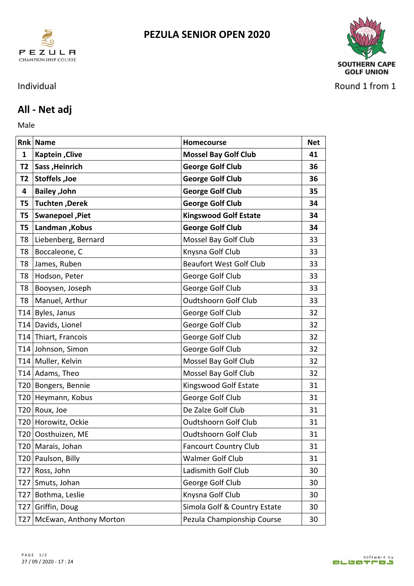



Individual Round 1 from 1

## **All - Net adj**

Male **Male** 

|    | <b>Rnk Name</b>            | Homecourse                     | <b>Net</b> |
|----|----------------------------|--------------------------------|------------|
| 1  | <b>Kaptein, Clive</b>      | <b>Mossel Bay Golf Club</b>    | 41         |
|    | T2   Sass, Heinrich        | <b>George Golf Club</b>        | 36         |
| T2 | Stoffels, Joe              | <b>George Golf Club</b>        | 36         |
| 4  | <b>Bailey</b> , John       | <b>George Golf Club</b>        | 35         |
| T5 | Tuchten, Derek             | <b>George Golf Club</b>        | 34         |
| T5 | Swanepoel, Piet            | <b>Kingswood Golf Estate</b>   | 34         |
|    | T5 Landman , Kobus         | <b>George Golf Club</b>        | 34         |
| T8 | Liebenberg, Bernard        | Mossel Bay Golf Club           | 33         |
|    | T8 Boccaleone, C           | Knysna Golf Club               | 33         |
|    | T8 James, Ruben            | <b>Beaufort West Golf Club</b> | 33         |
|    | T8 Hodson, Peter           | George Golf Club               | 33         |
|    | T8 Booysen, Joseph         | George Golf Club               | 33         |
|    | T8   Manuel, Arthur        | <b>Oudtshoorn Golf Club</b>    | 33         |
|    | T14 Byles, Janus           | George Golf Club               | 32         |
|    | T14 Davids, Lionel         | George Golf Club               | 32         |
|    | T14 Thiart, Francois       | George Golf Club               | 32         |
|    | T14 Johnson, Simon         | George Golf Club               | 32         |
|    | T14 Muller, Kelvin         | Mossel Bay Golf Club           | 32         |
|    | T14 Adams, Theo            | Mossel Bay Golf Club           | 32         |
|    | T20 Bongers, Bennie        | Kingswood Golf Estate          | 31         |
|    | T20 Heymann, Kobus         | George Golf Club               | 31         |
|    | T20 Roux, Joe              | De Zalze Golf Club             | 31         |
|    | T20 Horowitz, Ockie        | <b>Oudtshoorn Golf Club</b>    | 31         |
|    | T20 Oosthuizen, ME         | <b>Oudtshoorn Golf Club</b>    | 31         |
|    | T20   Marais, Johan        | <b>Fancourt Country Club</b>   | 31         |
|    | T20 Paulson, Billy         | Walmer Golf Club               | 31         |
|    | T27 Ross, John             | Ladismith Golf Club            | 30         |
|    | T27 Smuts, Johan           | George Golf Club               | 30         |
|    | T27 Bothma, Leslie         | Knysna Golf Club               | 30         |
|    | T27 Griffin, Doug          | Simola Golf & Country Estate   | 30         |
|    | T27 McEwan, Anthony Morton | Pezula Championship Course     | 30         |